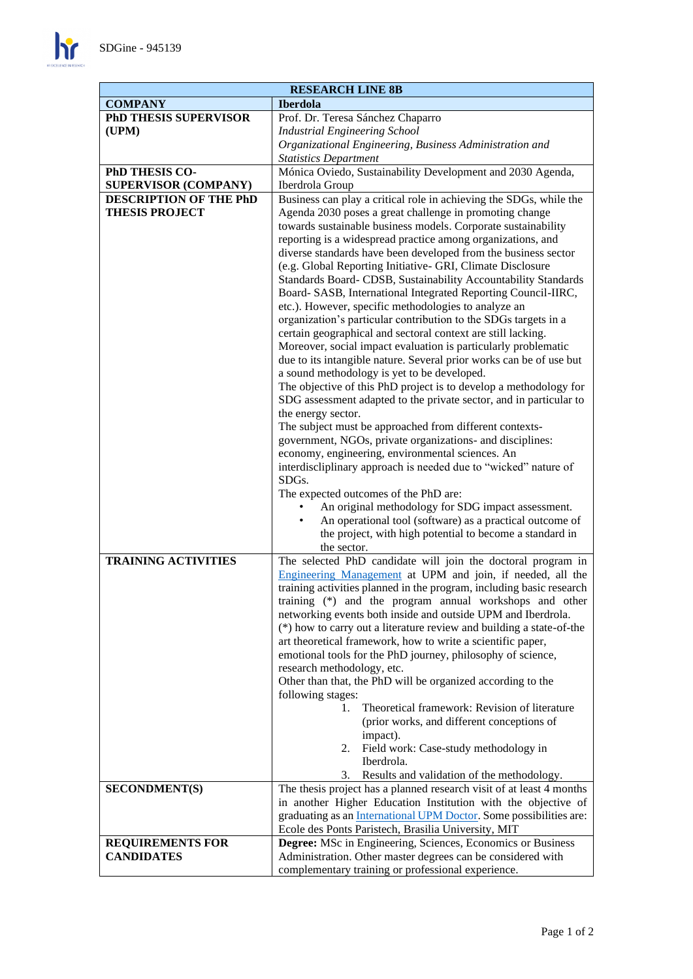$\mathbf{h}$ 

| <b>RESEARCH LINE 8B</b>      |                                                                                                                               |
|------------------------------|-------------------------------------------------------------------------------------------------------------------------------|
| <b>COMPANY</b>               | <b>Iberdola</b>                                                                                                               |
| <b>PhD THESIS SUPERVISOR</b> | Prof. Dr. Teresa Sánchez Chaparro                                                                                             |
| (UPM)                        | <b>Industrial Engineering School</b>                                                                                          |
|                              | Organizational Engineering, Business Administration and                                                                       |
|                              | <b>Statistics Department</b>                                                                                                  |
| PhD THESIS CO-               | Mónica Oviedo, Sustainability Development and 2030 Agenda,                                                                    |
| <b>SUPERVISOR (COMPANY)</b>  | Iberdrola Group                                                                                                               |
| DESCRIPTION OF THE PhD       | Business can play a critical role in achieving the SDGs, while the                                                            |
| <b>THESIS PROJECT</b>        | Agenda 2030 poses a great challenge in promoting change                                                                       |
|                              | towards sustainable business models. Corporate sustainability                                                                 |
|                              | reporting is a widespread practice among organizations, and<br>diverse standards have been developed from the business sector |
|                              | (e.g. Global Reporting Initiative- GRI, Climate Disclosure                                                                    |
|                              | Standards Board- CDSB, Sustainability Accountability Standards                                                                |
|                              | Board- SASB, International Integrated Reporting Council-IIRC,                                                                 |
|                              | etc.). However, specific methodologies to analyze an                                                                          |
|                              | organization's particular contribution to the SDGs targets in a                                                               |
|                              | certain geographical and sectoral context are still lacking.                                                                  |
|                              | Moreover, social impact evaluation is particularly problematic                                                                |
|                              | due to its intangible nature. Several prior works can be of use but                                                           |
|                              | a sound methodology is yet to be developed.                                                                                   |
|                              | The objective of this PhD project is to develop a methodology for                                                             |
|                              | SDG assessment adapted to the private sector, and in particular to                                                            |
|                              | the energy sector.                                                                                                            |
|                              | The subject must be approached from different contexts-<br>government, NGOs, private organizations- and disciplines:          |
|                              | economy, engineering, environmental sciences. An                                                                              |
|                              | interdiscliplinary approach is needed due to "wicked" nature of                                                               |
|                              | SDGs.                                                                                                                         |
|                              | The expected outcomes of the PhD are:                                                                                         |
|                              | An original methodology for SDG impact assessment.                                                                            |
|                              | An operational tool (software) as a practical outcome of                                                                      |
|                              | the project, with high potential to become a standard in                                                                      |
|                              | the sector.                                                                                                                   |
| <b>TRAINING ACTIVITIES</b>   | The selected PhD candidate will join the doctoral program in                                                                  |
|                              | Engineering Management at UPM and join, if needed, all the                                                                    |
|                              | training activities planned in the program, including basic research                                                          |
|                              | training (*) and the program annual workshops and other<br>networking events both inside and outside UPM and Iberdrola.       |
|                              | (*) how to carry out a literature review and building a state-of-the                                                          |
|                              | art theoretical framework, how to write a scientific paper,                                                                   |
|                              | emotional tools for the PhD journey, philosophy of science,                                                                   |
|                              | research methodology, etc.                                                                                                    |
|                              | Other than that, the PhD will be organized according to the                                                                   |
|                              | following stages:                                                                                                             |
|                              | Theoretical framework: Revision of literature<br>1.                                                                           |
|                              | (prior works, and different conceptions of                                                                                    |
|                              | impact).                                                                                                                      |
|                              | Field work: Case-study methodology in<br>2.<br>Iberdrola.                                                                     |
|                              | Results and validation of the methodology.<br>3.                                                                              |
| <b>SECONDMENT(S)</b>         | The thesis project has a planned research visit of at least 4 months                                                          |
|                              | in another Higher Education Institution with the objective of                                                                 |
|                              | graduating as an <i>International UPM Doctor</i> . Some possibilities are:                                                    |
|                              | Ecole des Ponts Paristech, Brasilia University, MIT                                                                           |
| <b>REQUIREMENTS FOR</b>      | Degree: MSc in Engineering, Sciences, Economics or Business                                                                   |
| <b>CANDIDATES</b>            | Administration. Other master degrees can be considered with                                                                   |
|                              | complementary training or professional experience.                                                                            |